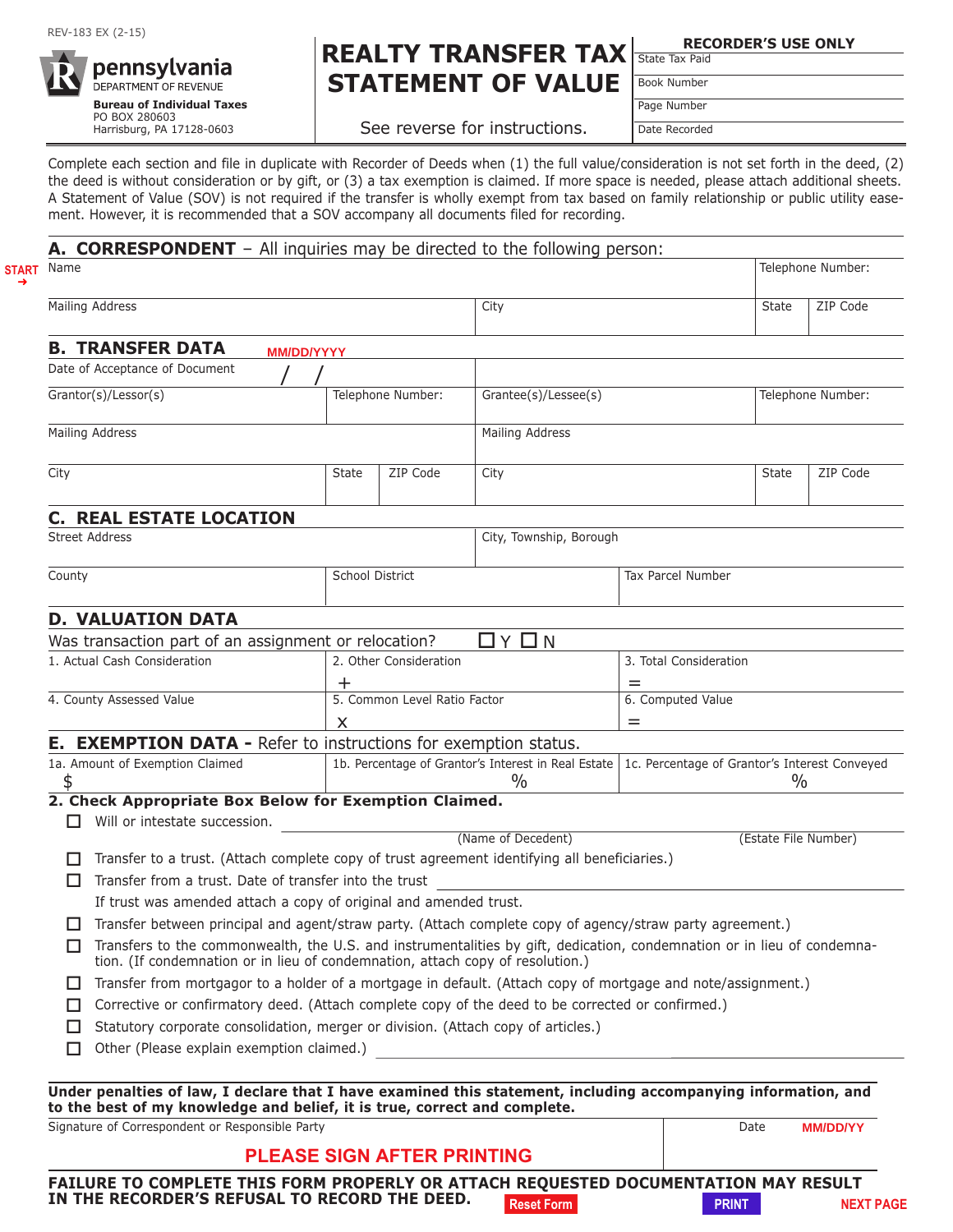

# **REALTY TRANSFER TAX** State Tax Paid **STATEMENT OF VALUE**

**RECORDER'S USE ONLY**

Book Number

See reverse for instructions.

Page Number Date Recorded

Complete each section and file in duplicate with Recorder of Deeds when (1) the full value/consideration is not set forth in the deed, (2) the deed is without consideration or by gift, or (3) a tax exemption is claimed. If more space is needed, please attach additional sheets. A Statement of Value (SOV) is not required if the transfer is wholly exempt from tax based on family relationship or public utility easement. However, it is recommended that a SOV accompany all documents filed for recording.

|                                                                                                                                                                                                           | A. CORRESPONDENT - All inquiries may be directed to the following person:                                      |                         |                                                                      |                      |                        |                                                       |                   |                 |  |
|-----------------------------------------------------------------------------------------------------------------------------------------------------------------------------------------------------------|----------------------------------------------------------------------------------------------------------------|-------------------------|----------------------------------------------------------------------|----------------------|------------------------|-------------------------------------------------------|-------------------|-----------------|--|
| Name                                                                                                                                                                                                      |                                                                                                                |                         |                                                                      |                      |                        | Telephone Number:                                     |                   |                 |  |
|                                                                                                                                                                                                           | Mailing Address<br>City                                                                                        |                         |                                                                      |                      |                        |                                                       | <b>State</b>      | ZIP Code        |  |
|                                                                                                                                                                                                           | <b>B. TRANSFER DATA</b><br><b>MM/DD/YYYY</b>                                                                   |                         |                                                                      |                      |                        |                                                       |                   |                 |  |
|                                                                                                                                                                                                           | Date of Acceptance of Document                                                                                 |                         |                                                                      |                      |                        |                                                       |                   |                 |  |
| Grantor(s)/Lessor(s)                                                                                                                                                                                      |                                                                                                                |                         | Telephone Number:                                                    | Grantee(s)/Lessee(s) |                        |                                                       | Telephone Number: |                 |  |
|                                                                                                                                                                                                           | Mailing Address                                                                                                |                         |                                                                      | Mailing Address      |                        |                                                       |                   |                 |  |
| City                                                                                                                                                                                                      |                                                                                                                | <b>State</b>            | ZIP Code                                                             | City                 |                        |                                                       | <b>State</b>      | ZIP Code        |  |
|                                                                                                                                                                                                           | <b>C. REAL ESTATE LOCATION</b>                                                                                 |                         |                                                                      |                      |                        |                                                       |                   |                 |  |
| <b>Street Address</b>                                                                                                                                                                                     |                                                                                                                | City, Township, Borough |                                                                      |                      |                        |                                                       |                   |                 |  |
| County                                                                                                                                                                                                    |                                                                                                                |                         | School District                                                      |                      | Tax Parcel Number      |                                                       |                   |                 |  |
|                                                                                                                                                                                                           | <b>D. VALUATION DATA</b>                                                                                       |                         |                                                                      |                      |                        |                                                       |                   |                 |  |
|                                                                                                                                                                                                           | $\Box$ $\vee$ $\Box$ $\wedge$<br>Was transaction part of an assignment or relocation?                          |                         |                                                                      |                      |                        |                                                       |                   |                 |  |
|                                                                                                                                                                                                           | 1. Actual Cash Consideration<br>2. Other Consideration                                                         |                         |                                                                      |                      | 3. Total Consideration |                                                       |                   |                 |  |
|                                                                                                                                                                                                           |                                                                                                                |                         | $\mathrm{+}$                                                         |                      | $=$                    |                                                       |                   |                 |  |
|                                                                                                                                                                                                           | 4. County Assessed Value                                                                                       |                         | 5. Common Level Ratio Factor                                         |                      |                        | 6. Computed Value                                     |                   |                 |  |
|                                                                                                                                                                                                           |                                                                                                                | X.                      |                                                                      |                      |                        |                                                       |                   |                 |  |
|                                                                                                                                                                                                           | <b>E. EXEMPTION DATA - Refer to instructions for exemption status.</b>                                         |                         |                                                                      |                      |                        |                                                       |                   |                 |  |
| 1a. Amount of Exemption Claimed<br>\$                                                                                                                                                                     |                                                                                                                |                         | 1b. Percentage of Grantor's Interest in Real Estate<br>$\frac{0}{0}$ |                      |                        | 1c. Percentage of Grantor's Interest Conveyed<br>$\%$ |                   |                 |  |
|                                                                                                                                                                                                           | 2. Check Appropriate Box Below for Exemption Claimed.                                                          |                         |                                                                      |                      |                        |                                                       |                   |                 |  |
|                                                                                                                                                                                                           | Will or intestate succession.                                                                                  |                         |                                                                      |                      |                        |                                                       |                   |                 |  |
|                                                                                                                                                                                                           |                                                                                                                | (Name of Decedent)      |                                                                      |                      | (Estate File Number)   |                                                       |                   |                 |  |
|                                                                                                                                                                                                           | Transfer to a trust. (Attach complete copy of trust agreement identifying all beneficiaries.)                  |                         |                                                                      |                      |                        |                                                       |                   |                 |  |
| П                                                                                                                                                                                                         | Transfer from a trust. Date of transfer into the trust                                                         |                         |                                                                      |                      |                        |                                                       |                   |                 |  |
|                                                                                                                                                                                                           | If trust was amended attach a copy of original and amended trust.                                              |                         |                                                                      |                      |                        |                                                       |                   |                 |  |
|                                                                                                                                                                                                           | Transfer between principal and agent/straw party. (Attach complete copy of agency/straw party agreement.)      |                         |                                                                      |                      |                        |                                                       |                   |                 |  |
| Transfers to the commonwealth, the U.S. and instrumentalities by gift, dedication, condemnation or in lieu of condemna-<br>tion. (If condemnation or in lieu of condemnation, attach copy of resolution.) |                                                                                                                |                         |                                                                      |                      |                        |                                                       |                   |                 |  |
| ш                                                                                                                                                                                                         | Transfer from mortgagor to a holder of a mortgage in default. (Attach copy of mortgage and note/assignment.)   |                         |                                                                      |                      |                        |                                                       |                   |                 |  |
| $\Box$                                                                                                                                                                                                    | Corrective or confirmatory deed. (Attach complete copy of the deed to be corrected or confirmed.)              |                         |                                                                      |                      |                        |                                                       |                   |                 |  |
| L I                                                                                                                                                                                                       | Statutory corporate consolidation, merger or division. (Attach copy of articles.)                              |                         |                                                                      |                      |                        |                                                       |                   |                 |  |
| П                                                                                                                                                                                                         |                                                                                                                |                         |                                                                      |                      |                        |                                                       |                   |                 |  |
|                                                                                                                                                                                                           | Under penalties of law, I declare that I have examined this statement, including accompanying information, and |                         |                                                                      |                      |                        |                                                       |                   |                 |  |
|                                                                                                                                                                                                           | to the best of my knowledge and belief, it is true, correct and complete.                                      |                         |                                                                      |                      |                        |                                                       |                   |                 |  |
| Signature of Correspondent or Responsible Party                                                                                                                                                           |                                                                                                                |                         |                                                                      |                      |                        |                                                       | Date              | <b>MM/DD/YY</b> |  |
|                                                                                                                                                                                                           |                                                                                                                |                         | <b>PLEASE SIGN AFTER PRINTING</b>                                    |                      |                        |                                                       |                   |                 |  |
|                                                                                                                                                                                                           |                                                                                                                |                         |                                                                      |                      |                        |                                                       |                   |                 |  |

**FAILURE TO COMPLETE THIS FORM PROPERLY OR ATTACH REQUESTED DOCUMENTATION MAY RESULT** IN THE RECORDER'S REFUSAL TO RECORD THE DEED. Reset Form **PRINT RESOLUTE A PRINT RESET PAGE**